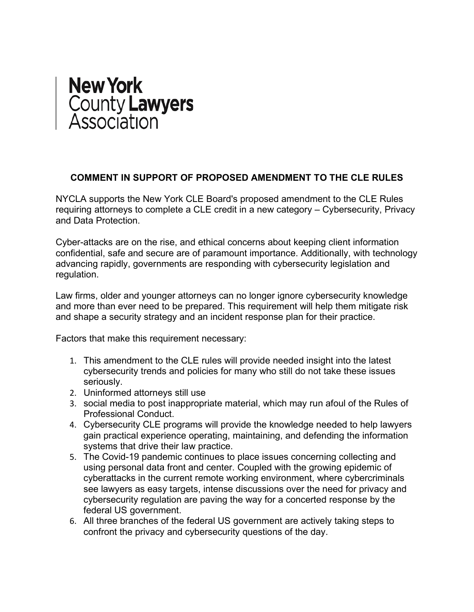## **New York** County **Lawyers**<br>Association

## **COMMENT IN SUPPORT OF PROPOSED AMENDMENT TO THE CLE RULES**

NYCLA supports the New York CLE Board's proposed amendment to the CLE Rules requiring attorneys to complete a CLE credit in a new category – Cybersecurity, Privacy and Data Protection.

Cyber-attacks are on the rise, and ethical concerns about keeping client information confidential, safe and secure are of paramount importance. Additionally, with technology advancing rapidly, governments are responding with cybersecurity legislation and regulation.

Law firms, older and younger attorneys can no longer ignore cybersecurity knowledge and more than ever need to be prepared. This requirement will help them mitigate risk and shape a security strategy and an incident response plan for their practice.

Factors that make this requirement necessary:

- 1. This amendment to the CLE rules will provide needed insight into the latest cybersecurity trends and policies for many who still do not take these issues seriously.
- 2. Uninformed attorneys still use
- 3. social media to post inappropriate material, which may run afoul of the Rules of Professional Conduct.
- 4. Cybersecurity CLE programs will provide the knowledge needed to help lawyers gain practical experience operating, maintaining, and defending the information systems that drive their law practice.
- 5. The Covid-19 pandemic continues to place issues concerning collecting and using personal data front and center. Coupled with the growing epidemic of cyberattacks in the current remote working environment, where cybercriminals see lawyers as easy targets, intense discussions over the need for privacy and cybersecurity regulation are paving the way for a concerted response by the federal US government.
- 6. All three branches of the federal US government are actively taking steps to confront the privacy and cybersecurity questions of the day.